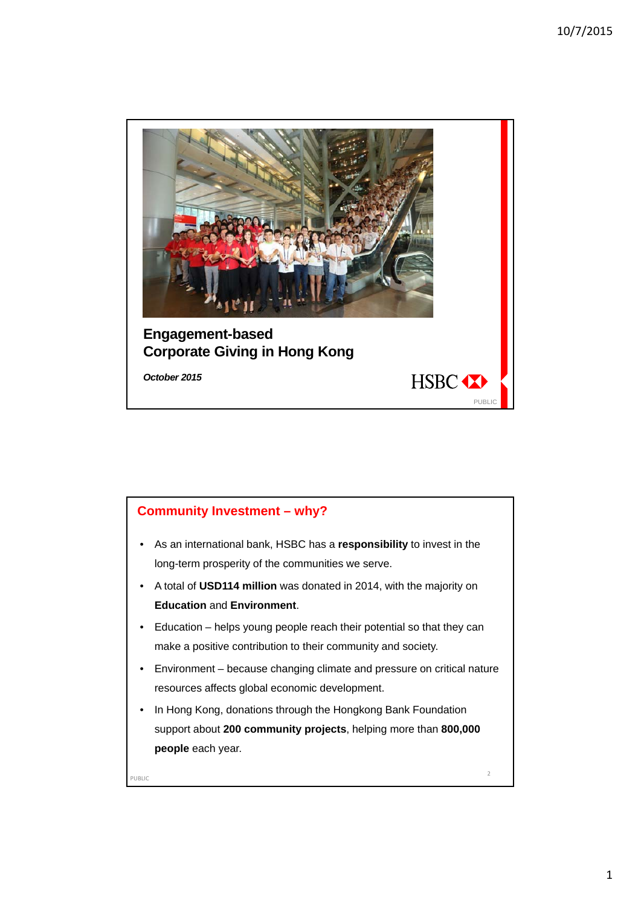



1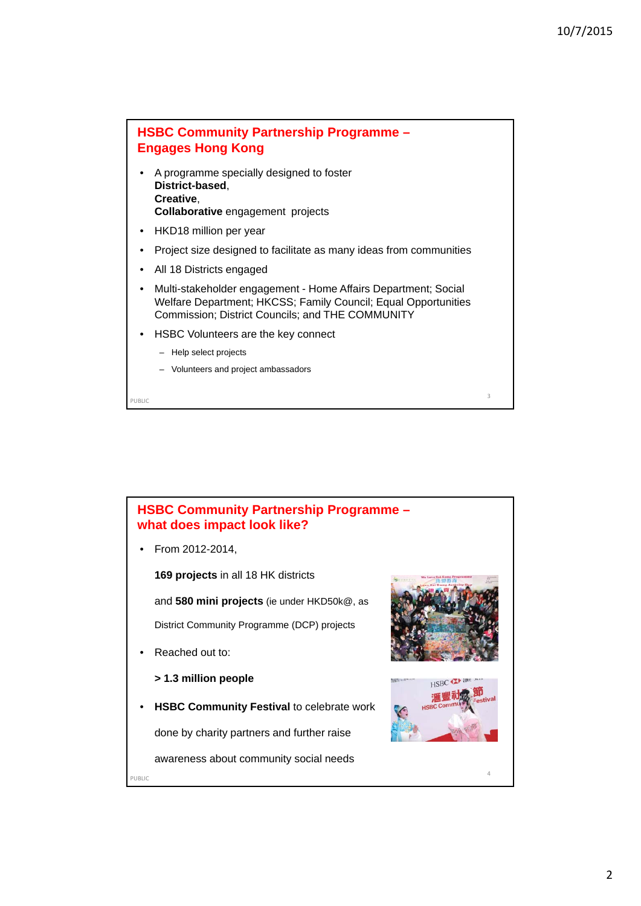## **HSBC Community Partnership Programme – Engages Hong Kong**

- A programme specially designed to foster **District-based**, **Creative**, **Collaborative** engagement projects
- HKD18 million per year
- Project size designed to facilitate as many ideas from communities
- All 18 Districts engaged
- Multi-stakeholder engagement Home Affairs Department; Social Welfare Department; HKCSS; Family Council; Equal Opportunities Commission; District Councils; and THE COMMUNITY

PUBLIC 2008 and 2008 and 2008 and 2008 and 2008 and 2008 and 2008 and 2008 and 2008 and 2008 and 2008 and 2008

- HSBC Volunteers are the key connect
	- Help select projects
	- Volunteers and project ambassadors

**HSBC Community Partnership Programme – what does impact look like?**

• From 2012-2014,

**169 projects** in all 18 HK districts

and **580 mini projects** (ie under HKD50k@, as

District Community Programme (DCP) projects

Reached out to:

## **> 1.3 million people**

• **HSBC Community Festival** to celebrate work

done by charity partners and further raise

awareness about community social needs